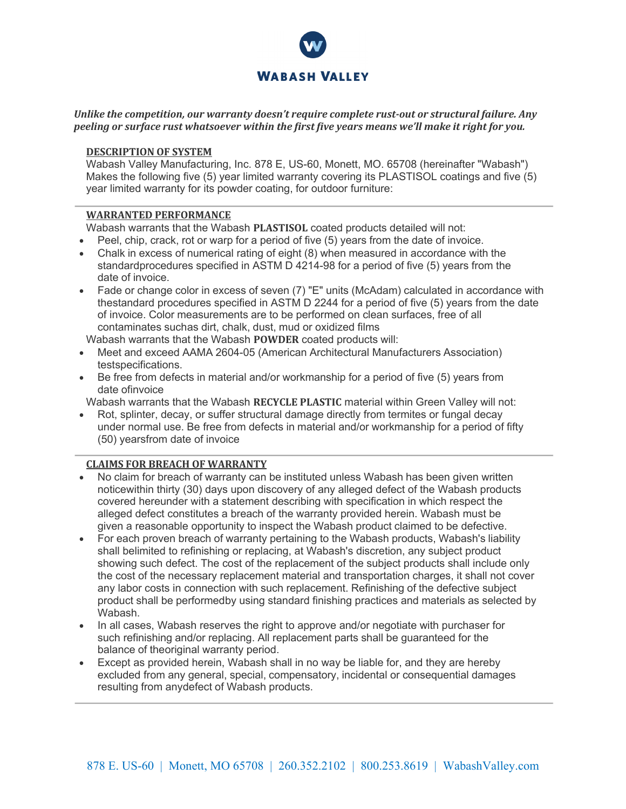

## *Unlike the competition, our warranty doesn't require complete rust-out or structural failure. Any peeling or surface rust whatsoever within the first five years means we'll make it right for you.*

### **DESCRIPTION OF SYSTEM**

Wabash Valley Manufacturing, Inc. 878 E, US-60, Monett, MO. 65708 (hereinafter "Wabash") Makes the following five (5) year limited warranty covering its PLASTISOL coatings and five (5) year limited warranty for its powder coating, for outdoor furniture:

## **WARRANTED PERFORMANCE**

Wabash warrants that the Wabash **PLASTISOL** coated products detailed will not:

- Peel, chip, crack, rot or warp for a period of five (5) years from the date of invoice.
- Chalk in excess of numerical rating of eight (8) when measured in accordance with the standardprocedures specified in ASTM D 4214-98 for a period of five (5) years from the date of invoice.
- Fade or change color in excess of seven (7) "E" units (McAdam) calculated in accordance with thestandard procedures specified in ASTM D 2244 for a period of five (5) years from the date of invoice. Color measurements are to be performed on clean surfaces, free of all contaminates suchas dirt, chalk, dust, mud or oxidized films

Wabash warrants that the Wabash **POWDER** coated products will:

- Meet and exceed AAMA 2604-05 (American Architectural Manufacturers Association) testspecifications.
- Be free from defects in material and/or workmanship for a period of five (5) years from date ofinvoice

Wabash warrants that the Wabash **RECYCLE PLASTIC** material within Green Valley will not:

• Rot, splinter, decay, or suffer structural damage directly from termites or fungal decay under normal use. Be free from defects in material and/or workmanship for a period of fifty (50) yearsfrom date of invoice

# **CLAIMS FOR BREACH OF WARRANTY**

- No claim for breach of warranty can be instituted unless Wabash has been given written noticewithin thirty (30) days upon discovery of any alleged defect of the Wabash products covered hereunder with a statement describing with specification in which respect the alleged defect constitutes a breach of the warranty provided herein. Wabash must be given a reasonable opportunity to inspect the Wabash product claimed to be defective.
- For each proven breach of warranty pertaining to the Wabash products, Wabash's liability shall belimited to refinishing or replacing, at Wabash's discretion, any subject product showing such defect. The cost of the replacement of the subject products shall include only the cost of the necessary replacement material and transportation charges, it shall not cover any labor costs in connection with such replacement. Refinishing of the defective subject product shall be performedby using standard finishing practices and materials as selected by Wabash.
- In all cases, Wabash reserves the right to approve and/or negotiate with purchaser for such refinishing and/or replacing. All replacement parts shall be guaranteed for the balance of theoriginal warranty period.
- Except as provided herein, Wabash shall in no way be liable for, and they are hereby excluded from any general, special, compensatory, incidental or consequential damages resulting from anydefect of Wabash products.